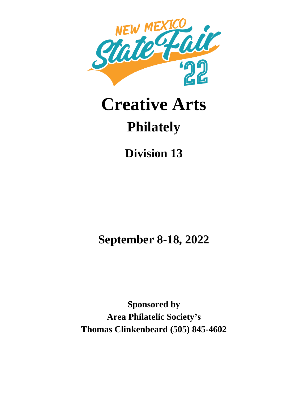

# **Creative Arts Philately**

**Division 13**

**September 8-18, 2022**

**Sponsored by Area Philatelic Society's Thomas Clinkenbeard (505) 845-4602**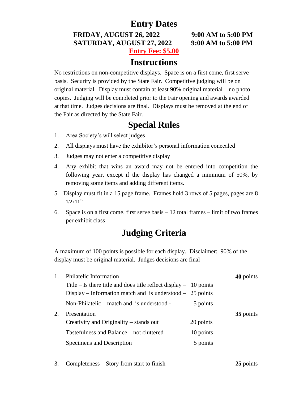# **Entry Dates**

**FRIDAY, AUGUST 26, 2022 9:00 AM to 5:00 PM SATURDAY, AUGUST 27, 2022 9:00 AM to 5:00 PM Entry Fee: \$5.00**

# **Instructions**

No restrictions on non-competitive displays. Space is on a first come, first serve basis. Security is provided by the State Fair. Competitive judging will be on original material. Display must contain at least 90% original material – no photo copies. Judging will be completed prior to the Fair opening and awards awarded at that time. Judges decisions are final. Displays must be removed at the end of the Fair as directed by the State Fair.

# **Special Rules**

- 1. Area Society's will select judges
- 2. All displays must have the exhibitor's personal information concealed
- 3. Judges may not enter a competitive display
- 4. Any exhibit that wins an award may not be entered into competition the following year, except if the display has changed a minimum of 50%, by removing some items and adding different items.
- 5. Display must fit in a 15 page frame. Frames hold 3 rows of 5 pages, pages are 8  $1/2x11"$
- 6. Space is on a first come, first serve basis 12 total frames limit of two frames per exhibit class

# **Judging Criteria**

A maximum of 100 points is possible for each display. Disclaimer: 90% of the display must be original material. Judges decisions are final

|    | Philatelic Information                                            |           | 40 points |
|----|-------------------------------------------------------------------|-----------|-----------|
|    | Title – Is there title and does title reflect display – 10 points |           |           |
|    | Display – Information match and is understood – $25$ points       |           |           |
|    | Non-Philatelic – match and is understood -                        | 5 points  |           |
| 2. | Presentation                                                      |           | 35 points |
|    | Creativity and Originality – stands out                           | 20 points |           |
|    | Tastefulness and Balance – not cluttered                          | 10 points |           |
|    | Specimens and Description                                         | 5 points  |           |

3. Completeness – Story from start to finish **25** points